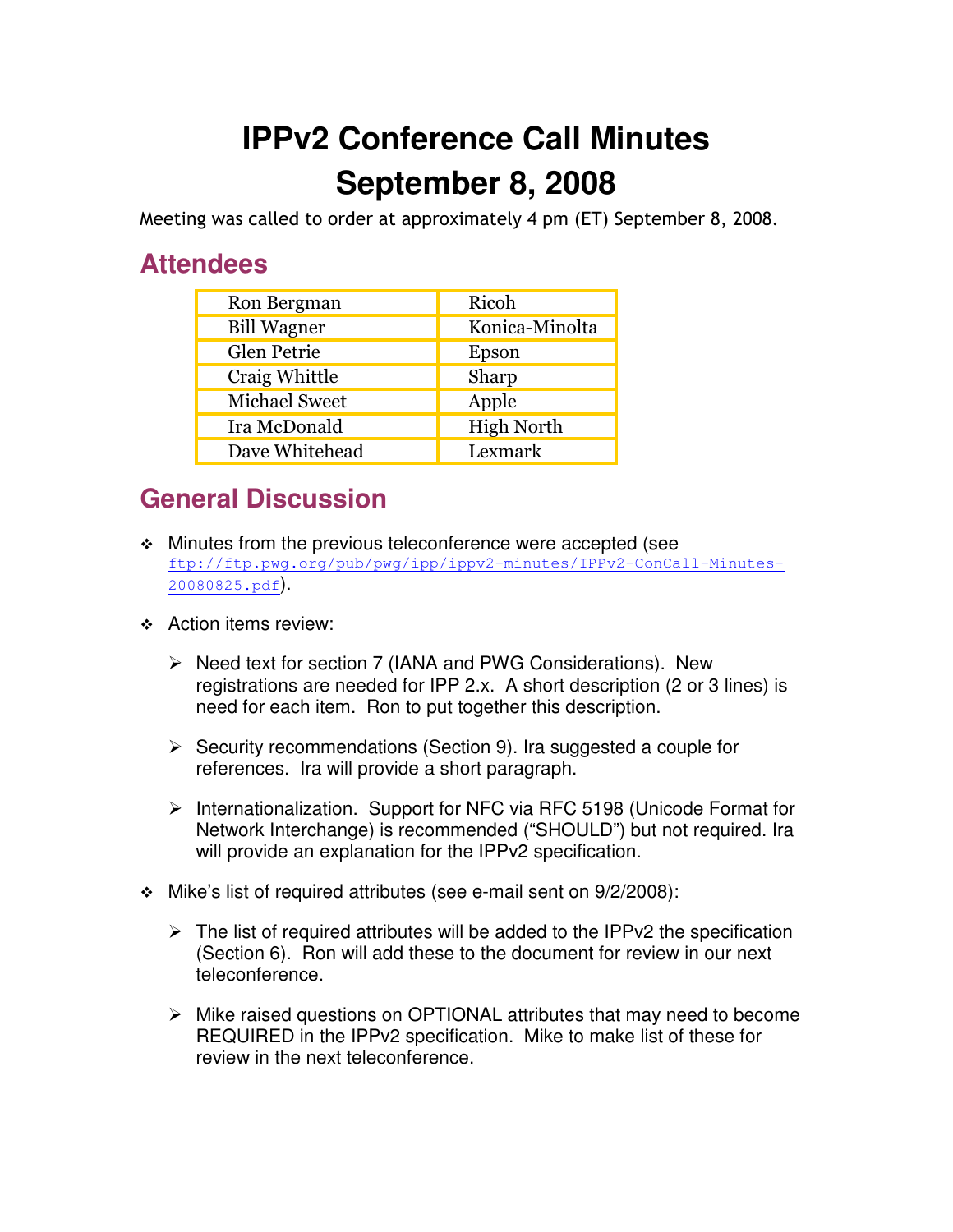## **IPPv2 Conference Call Minutes September 8, 2008**

Meeting was called to order at approximately 4 pm (ET) September 8, 2008.

## **Attendees**

| Ron Bergman          | Ricoh             |
|----------------------|-------------------|
| <b>Bill Wagner</b>   | Konica-Minolta    |
| Glen Petrie          | Epson             |
| Craig Whittle        | Sharp             |
| <b>Michael Sweet</b> | Apple             |
| Ira McDonald         | <b>High North</b> |
| Dave Whitehead       | Lexmark           |

## **General Discussion**

- Minutes from the previous teleconference were accepted (see ftp://ftp.pwg.org/pub/pwg/ipp/ippv2-minutes/IPPv2-ConCall-Minutes-20080825.pdf).
- **↑ Action items review:** 
	- ▶ Need text for section 7 (IANA and PWG Considerations). New registrations are needed for IPP 2.x. A short description (2 or 3 lines) is need for each item. Ron to put together this description.
	- ▶ Security recommendations (Section 9). Ira suggested a couple for references. Ira will provide a short paragraph.
	- > Internationalization. Support for NFC via RFC 5198 (Unicode Format for Network Interchange) is recommended ("SHOULD") but not required. Ira will provide an explanation for the IPPv2 specification.
- Mike's list of required attributes (see e-mail sent on 9/2/2008):
	- > The list of required attributes will be added to the IPPv2 the specification (Section 6). Ron will add these to the document for review in our next teleconference.
	- > Mike raised questions on OPTIONAL attributes that may need to become REQUIRED in the IPPv2 specification. Mike to make list of these for review in the next teleconference.